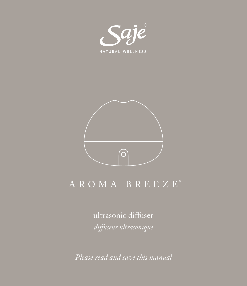



ultrasonic diffuser

*Please read and save this manual*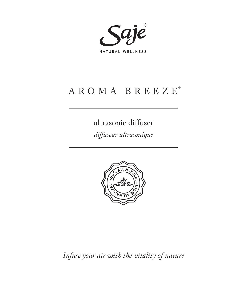Saje NATURAL WELLNESS

#### AROMA BREEZE®

ultrasonic diffuser

*diffuseur ultrasonique*



*Infuse your air with the vitality of nature*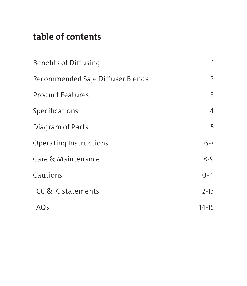# **table of contents**

| Benefits of Diffusing            | 1              |
|----------------------------------|----------------|
| Recommended Saje Diffuser Blends | 2              |
| <b>Product Features</b>          | 3              |
| Specifications                   | $\overline{4}$ |
| Diagram of Parts                 | 5              |
| Operating Instructions           | $6 - 7$        |
| Care & Maintenance               | $8 - 9$        |
| Cautions                         | $10 - 11$      |
| FCC & IC statements              | $12 - 13$      |
| FAOs                             | $14 - 15$      |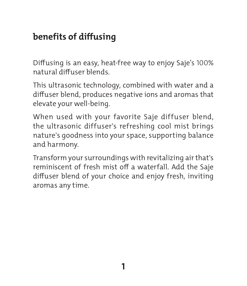## **benefits of diffusing**

Diffusing is an easy, heat-free way to enjoy Saje's 100% natural diffuser blends.

This ultrasonic technology, combined with water and a diffuser blend, produces negative ions and aromas that elevate your well-being.

When used with your favorite Saje diffuser blend, the ultrasonic diffuser's refreshing cool mist brings nature's goodness into your space, supporting balance and harmony.

Transform your surroundings with revitalizing air that's reminiscent of fresh mist off a waterfall. Add the Saje diffuser blend of your choice and enjoy fresh, inviting aromas any time.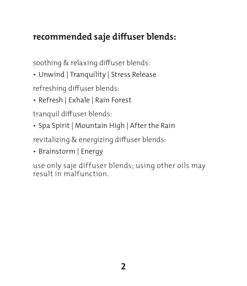# **recommended saje diffuser blends:**

soothing & relaxing diffuser blends:

• Unwind | Tranquility | Stress Release

refreshing diffuser blends:

• Refresh | Exhale | Rain Forest

tranquil diffuser blends:

• Spa Spirit | Mountain High | After the Rain

revitalizing & energizing diffuser blends:

• Brainstorm | Energy

use only saje diffuser blends; using other oils may result in malfunction.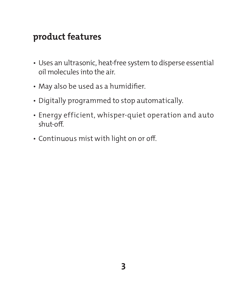#### **product features**

- Uses an ultrasonic, heat-free system to disperse essential oil molecules into the air.
- May also be used as a humidifier.
- Digitally programmed to stop automatically.
- Energy efficient, whisper-quiet operation and auto shut-off.
- Continuous mist with light on or off.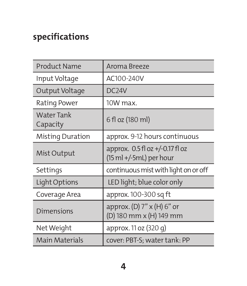# **specifications**

| <b>Product Name</b>    | Aroma Breeze                                                 |
|------------------------|--------------------------------------------------------------|
| Input Voltage          | AC100-240V                                                   |
| Output Voltage         | DC <sub>24</sub> V                                           |
| Rating Power           | $10W$ max.                                                   |
| Water Tank<br>Capacity | 6 fl oz (180 ml)                                             |
| Misting Duration       | approx. 9-12 hours continuous                                |
| Mist Output            | approx. $0.5 f$ oz $+/-0.17 f$ oz<br>(15 ml +/-5mL) per hour |
| Settings               | continuous mist with light on or off                         |
| Light Options          | LED light; blue color only                                   |
| Coverage Area          | approx. 100-300 sq ft                                        |
| <b>Dimensions</b>      | approx. (D) $7" \times (H) 6"$ or<br>(D) 180 mm x (H) 149 mm |
| Net Weight             | approx. 11 oz (320 g)                                        |
| Main Materials         | cover: PBT-S; water tank: PP                                 |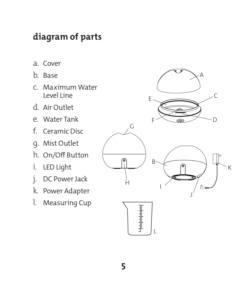# **diagram of parts**

- a. Cover
- b. Base
- c. Maximum Water Level Line
- d. Air Outlet
- e. Water Tank
- f. Ceramic Disc
- g. Mist Outlet
- h. On/Off Button
- i. LED Light
- j. DC Power Jack
- k. Power Adapter
- l. Measuring Cup

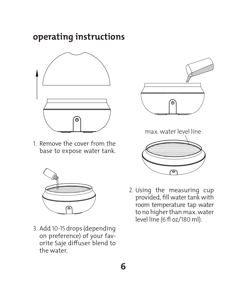# **operating instructions**



1. Remove the cover from the base to expose water tank.



3. Add 10-15 drops (depending on preference) of your favorite Saje diffuser blend to the water.



max. water level line

2. Using the measuring cup provided, fill water tank with room temperature tap water to no higher than max. water level line (6 fl oz/180 ml).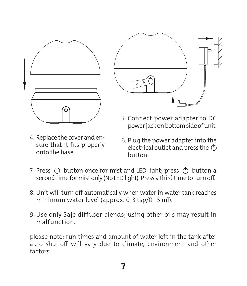



- 5. Connect power adapter to DC power jack on bottom side of unit.
- 4. Replace the cover and ensure that it fits properly onto the base.
- 6. Plug the power adapter into the electrical outlet and press the  $(')$ button.
- 7. Press  $\langle \rangle$  button once for mist and LED light; press  $\langle \rangle$  button a second time for mist only (No LED light). Press a third time to turn off.
- 8. Unit will turn off automatically when water in water tank reaches minimum water level (approx. 0-3 tsp/0-15 ml).
- 9. Use only Saje diffuser blends; using other oils may result in malfunction.

please note: run times and amount of water left in the tank after auto shut-off will vary due to climate, environment and other factors.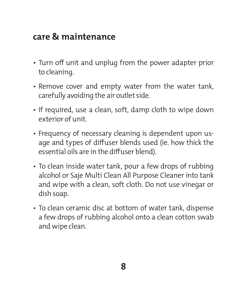#### **care & maintenance**

- Turn off unit and unplug from the power adapter prior to cleaning.
- Remove cover and empty water from the water tank, carefully avoiding the air outlet side.
- If required, use a clean, soft, damp cloth to wipe down exterior of unit.
- Frequency of necessary cleaning is dependent upon usage and types of diffuser blends used (ie. how thick the essential oils are in the diffuser blend).
- To clean inside water tank, pour a few drops of rubbing alcohol or Saje Multi Clean All Purpose Cleaner into tank and wipe with a clean, soft cloth. Do not use vinegar or dish soap.
- To clean ceramic disc at bottom of water tank, dispense a few drops of rubbing alcohol onto a clean cotton swab and wipe clean.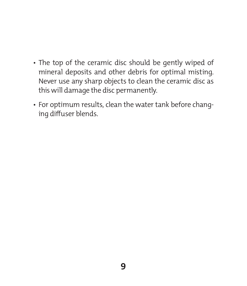- The top of the ceramic disc should be gently wiped of mineral deposits and other debris for optimal misting. Never use any sharp objects to clean the ceramic disc as this will damage the disc permanently.
- For optimum results, clean the water tank before changing diffuser blends.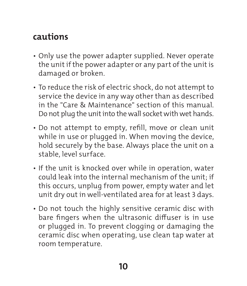# **cautions**

- Only use the power adapter supplied. Never operate the unit if the power adapter or any part of the unit is damaged or broken.
- To reduce the risk of electric shock, do not attempt to service the device in any way other than as described in the "Care & Maintenance" section of this manual. Do not plug the unit into the wall socket with wet hands.
- Do not attempt to empty, refill, move or clean unit while in use or plugged in. When moving the device, hold securely by the base. Always place the unit on a stable, level surface.
- If the unit is knocked over while in operation, water could leak into the internal mechanism of the unit; if this occurs, unplug from power, empty water and let unit dry out in well-ventilated area for at least 3 days.
- Do not touch the highly sensitive ceramic disc with bare fingers when the ultrasonic diffuser is in use or plugged in. To prevent clogging or damaging the ceramic disc when operating, use clean tap water at room temperature.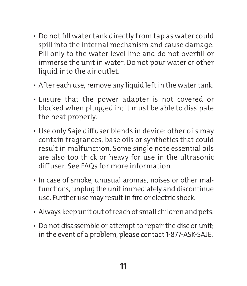- Do not fill water tank directly from tap as water could spill into the internal mechanism and cause damage. Fill only to the water level line and do not overfill or immerse the unit in water. Do not pour water or other liquid into the air outlet.
- After each use, remove any liquid left in the water tank.
- Ensure that the power adapter is not covered or blocked when plugged in; it must be able to dissipate the heat properly.
- Use only Saje diffuser blends in device: other oils may contain fragrances, base oils or synthetics that could result in malfunction. Some single note essential oils are also too thick or heavy for use in the ultrasonic diffuser. See FAQs for more information.
- In case of smoke, unusual aromas, noises or other malfunctions, unplug the unit immediately and discontinue use. Further use may result in fire or electric shock.
- Always keep unit out of reach of small children and pets.
- Do not disassemble or attempt to repair the disc or unit; in the event of a problem, please contact 1-877-ASK-SAJE.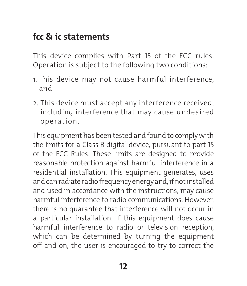## **fcc & ic statements**

This device complies with Part 15 of the FCC rules. Operation is subject to the following two conditions:

- 1. This device may not cause harmful interference, and
- 2. This device must accept any interference received, including interference that may cause undesired operation.

This equipment has been tested and found to comply with the limits for a Class B digital device, pursuant to part 15 of the FCC Rules. These limits are designed to provide reasonable protection against harmful interference in a residential installation. This equipment generates, uses and can radiate radio frequency energy and, if not installed and used in accordance with the instructions, may cause harmful interference to radio communications. However, there is no guarantee that interference will not occur in a particular installation. If this equipment does cause harmful interference to radio or television reception, which can be determined by turning the equipment off and on, the user is encouraged to try to correct the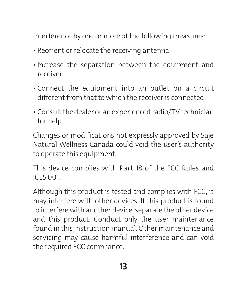interference by one or more of the following measures:

- Reorient or relocate the receiving antenna.
- Increase the separation between the equipment and receiver.
- Connect the equipment into an outlet on a circuit different from that to which the receiver is connected.
- Consult the dealer or an experienced radio/TV technician for help.

Changes or modifications not expressly approved by Saje Natural Wellness Canada could void the user's authority to operate this equipment.

This device complies with Part 18 of the FCC Rules and ICES 001.

Although this product is tested and complies with FCC, it may interfere with other devices. If this product is found to interfere with another device, separate the other device and this product. Conduct only the user maintenance found in this instruction manual. Other maintenance and servicing may cause harmful interference and can void the required FCC compliance.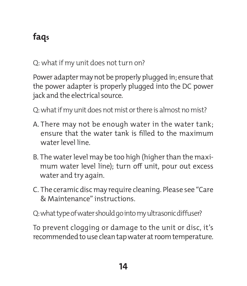# **faqs**

Q: what if my unit does not turn on?

Power adapter may not be properly plugged in; ensure that the power adapter is properly plugged into the DC power jack and the electrical source.

Q: what if my unit does not mist or there is almost no mist?

- A. There may not be enough water in the water tank; ensure that the water tank is filled to the maximum water level line.
- B. The water level may be too high (higher than the maximum water level line); turn off unit, pour out excess water and try again.
- C. The ceramic disc may require cleaning. Please see "Care & Maintenance" instructions.
- Q: what type of water should go into my ultrasonic diffuser?

To prevent clogging or damage to the unit or disc, it's recommended to use clean tap water at room temperature.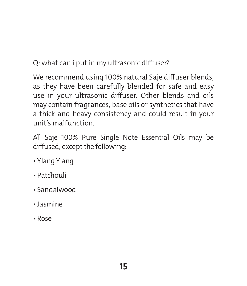Q: what can i put in my ultrasonic diffuser?

We recommend using 100% natural Saje diffuser blends, as they have been carefully blended for safe and easy use in your ultrasonic diffuser. Other blends and oils may contain fragrances, base oils or synthetics that have a thick and heavy consistency and could result in your unit's malfunction.

All Saje 100% Pure Single Note Essential Oils may be diffused, except the following:

- Ylang Ylang
- Patchouli
- Sandalwood
- Jasmine
- Rose